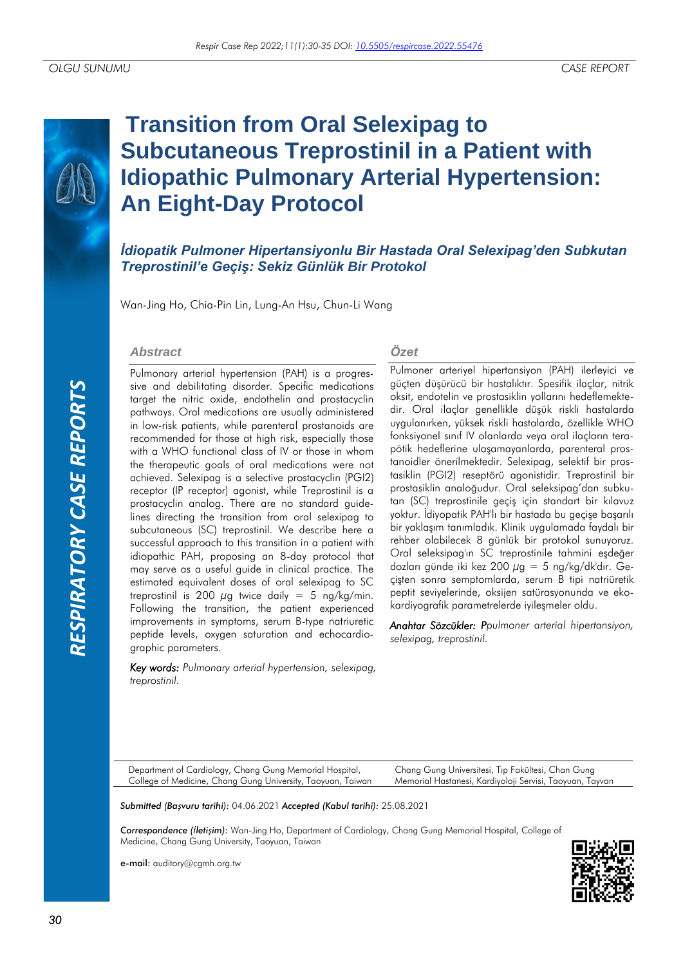

# **Transition from Oral Selexipag to Subcutaneous Treprostinil in a Patient with Idiopathic Pulmonary Arterial Hypertension: An Eight-Day Protocol**

*İdiopatik Pulmoner Hipertansiyonlu Bir Hastada Oral Selexipag'den Subkutan Treprostinil'e Geçiş: Sekiz Günlük Bir Protokol*

Wan-Jing Ho, Chia-Pin Lin, Lung-An Hsu, Chun-Li Wang

#### *Abstract*

Pulmonary arterial hypertension (PAH) is a progressive and debilitating disorder. Specific medications target the nitric oxide, endothelin and prostacyclin pathways. Oral medications are usually administered in low-risk patients, while parenteral prostanoids are recommended for those at high risk, especially those with a WHO functional class of IV or those in whom the therapeutic goals of oral medications were not achieved. Selexipag is a selective prostacyclin (PGI2) receptor (IP receptor) agonist, while Treprostinil is a prostacyclin analog. There are no standard guidelines directing the transition from oral selexipag to subcutaneous (SC) treprostinil. We describe here a successful approach to this transition in a patient with idiopathic PAH, proposing an 8-day protocol that may serve as a useful guide in clinical practice. The estimated equivalent doses of oral selexipag to SC treprostinil is 200  $\mu$ g twice daily = 5 ng/kg/min. Following the transition, the patient experienced improvements in symptoms, serum B-type natriuretic peptide levels, oxygen saturation and echocardiographic parameters.

*Key words: Pulmonary arterial hypertension, selexipag, treprostinil.*

#### *Özet*

Pulmoner arteriyel hipertansiyon (PAH) ilerleyici ve güçten düşürücü bir hastalıktır. Spesifik ilaçlar, nitrik oksit, endotelin ve prostasiklin yollarını hedeflemektedir. Oral ilaçlar genellikle düşük riskli hastalarda uygulanırken, yüksek riskli hastalarda, özellikle WHO fonksiyonel sınıf IV olanlarda veya oral ilaçların terapötik hedeflerine ulaşamayanlarda, parenteral prostanoidler önerilmektedir. Selexipag, selektif bir prostasiklin (PGI2) reseptörü agonistidir. Treprostinil bir prostasiklin analoğudur. Oral seleksipag'dan subkutan (SC) treprostinile geçiş için standart bir kılavuz yoktur. İdiyopatik PAH'lı bir hastada bu geçişe başarılı bir yaklaşım tanımladık. Klinik uygulamada faydalı bir rehber olabilecek 8 günlük bir protokol sunuyoruz. Oral seleksipag'ın SC treprostinile tahmini eşdeğer dozları günde iki kez 200  $\mu$ g = 5 ng/kg/dk'dır. Geçişten sonra semptomlarda, serum B tipi natriüretik peptit seviyelerinde, oksijen satürasyonunda ve ekokardiyografik parametrelerde iyileşmeler oldu.

*Anahtar Sözcükler: Ppulmoner arterial hipertansiyon, selexipag, treprostinil.*

Department of Cardiology, Chang Gung Memorial Hospital, College of Medicine, Chang Gung University, Taoyuan, Taiwan Chang Gung Universitesi, Tıp Fakültesi, Chan Gung Memorial Hastanesi, Kardiyoloji Servisi, Taoyuan, Tayvan

*Submitted (Başvuru tarihi):* 04.06.2021 *Accepted (Kabul tarihi):* 25.08.2021

*Correspondence (İletişim):* Wan-Jing Ho, Department of Cardiology, Chang Gung Memorial Hospital, College of Medicine, Chang Gung University, Taoyuan, Taiwan

e-mail: auditory@cgmh.org.tw

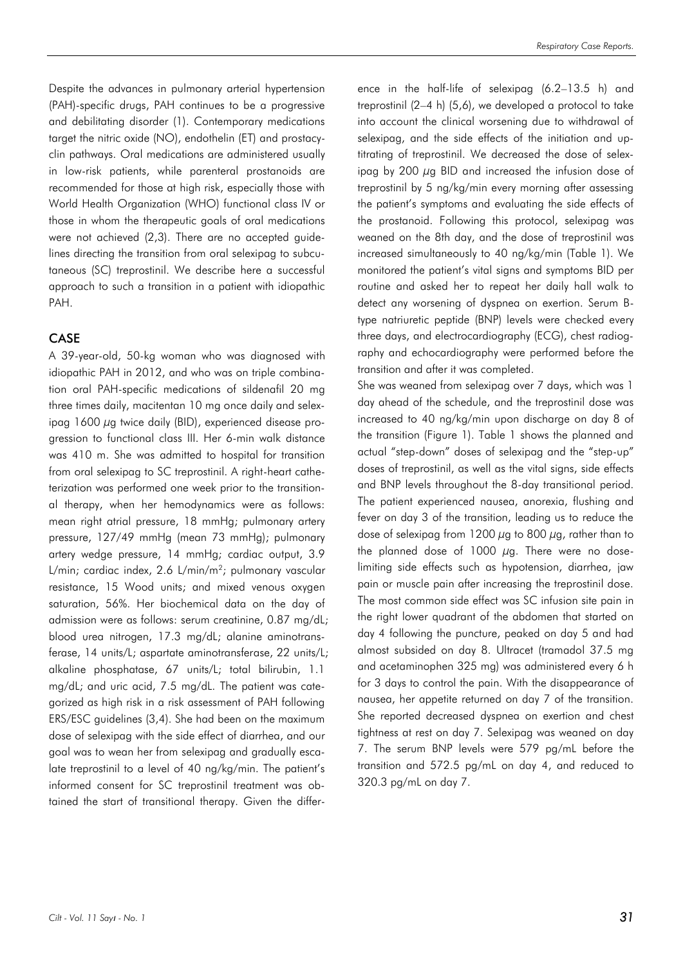Despite the advances in pulmonary arterial hypertension (PAH)-specific drugs, PAH continues to be a progressive and debilitating disorder (1). Contemporary medications target the nitric oxide (NO), endothelin (ET) and prostacyclin pathways. Oral medications are administered usually in low-risk patients, while parenteral prostanoids are recommended for those at high risk, especially those with World Health Organization (WHO) functional class IV or those in whom the therapeutic goals of oral medications were not achieved (2,3). There are no accepted guidelines directing the transition from oral selexipag to subcutaneous (SC) treprostinil. We describe here a successful approach to such a transition in a patient with idiopathic PAH.

## **CASE**

A 39-year-old, 50-kg woman who was diagnosed with idiopathic PAH in 2012, and who was on triple combination oral PAH-specific medications of sildenafil 20 mg three times daily, macitentan 10 mg once daily and selexipag 1600 µg twice daily (BID), experienced disease progression to functional class III. Her 6-min walk distance was 410 m. She was admitted to hospital for transition from oral selexipag to SC treprostinil. A right-heart catheterization was performed one week prior to the transitional therapy, when her hemodynamics were as follows: mean right atrial pressure, 18 mmHg; pulmonary artery pressure, 127/49 mmHg (mean 73 mmHg); pulmonary artery wedge pressure, 14 mmHg; cardiac output, 3.9 L/min; cardiac index, 2.6 L/min/m<sup>2</sup>; pulmonary vascular resistance, 15 Wood units; and mixed venous oxygen saturation, 56%. Her biochemical data on the day of admission were as follows: serum creatinine, 0.87 mg/dL; blood urea nitrogen, 17.3 mg/dL; alanine aminotransferase, 14 units/L; aspartate aminotransferase, 22 units/L; alkaline phosphatase, 67 units/L; total bilirubin, 1.1 mg/dL; and uric acid, 7.5 mg/dL. The patient was categorized as high risk in a risk assessment of PAH following ERS/ESC guidelines (3,4). She had been on the maximum dose of selexipag with the side effect of diarrhea, and our goal was to wean her from selexipag and gradually escalate treprostinil to a level of 40 ng/kg/min. The patient's informed consent for SC treprostinil treatment was obtained the start of transitional therapy. Given the difference in the half-life of selexipag (6.2–13.5 h) and treprostinil (2–4 h) (5,6), we developed a protocol to take into account the clinical worsening due to withdrawal of selexipag, and the side effects of the initiation and uptitrating of treprostinil. We decreased the dose of selexipag by 200 µg BID and increased the infusion dose of treprostinil by 5 ng/kg/min every morning after assessing the patient's symptoms and evaluating the side effects of the prostanoid. Following this protocol, selexipag was weaned on the 8th day, and the dose of treprostinil was increased simultaneously to 40 ng/kg/min (Table 1). We monitored the patient's vital signs and symptoms BID per routine and asked her to repeat her daily hall walk to detect any worsening of dyspnea on exertion. Serum Btype natriuretic peptide (BNP) levels were checked every three days, and electrocardiography (ECG), chest radiography and echocardiography were performed before the transition and after it was completed.

She was weaned from selexipag over 7 days, which was 1 day ahead of the schedule, and the treprostinil dose was increased to 40 ng/kg/min upon discharge on day 8 of the transition (Figure 1). Table 1 shows the planned and actual "step-down" doses of selexipag and the "step-up" doses of treprostinil, as well as the vital signs, side effects and BNP levels throughout the 8-day transitional period. The patient experienced nausea, anorexia, flushing and fever on day 3 of the transition, leading us to reduce the dose of selexipag from 1200  $\mu$ g to 800  $\mu$ g, rather than to the planned dose of 1000  $\mu$ g. There were no doselimiting side effects such as hypotension, diarrhea, jaw pain or muscle pain after increasing the treprostinil dose. The most common side effect was SC infusion site pain in the right lower quadrant of the abdomen that started on day 4 following the puncture, peaked on day 5 and had almost subsided on day 8. Ultracet (tramadol 37.5 mg and acetaminophen 325 mg) was administered every 6 h for 3 days to control the pain. With the disappearance of nausea, her appetite returned on day 7 of the transition. She reported decreased dyspnea on exertion and chest tightness at rest on day 7. Selexipag was weaned on day 7. The serum BNP levels were 579 pg/mL before the transition and 572.5 pg/mL on day 4, and reduced to 320.3 pg/mL on day 7.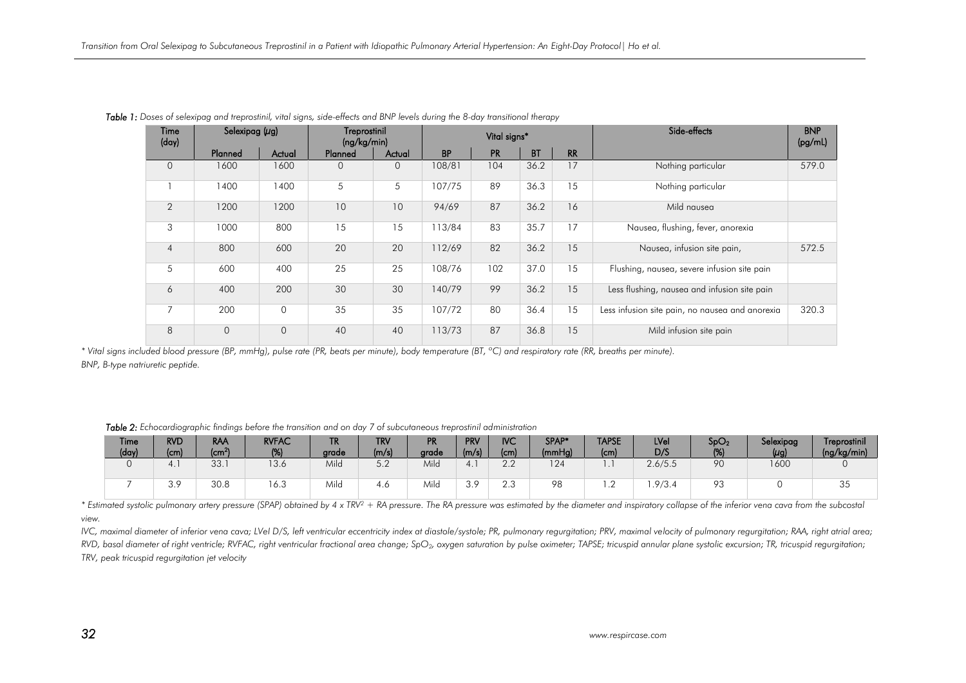| Time<br>(day)  | Selexipag $(\mu g)$ |             | Treprostinil<br>(ng/kg/min) |             |                                                  | Vital signs* |             |    | Side-effects                                    | <b>BNP</b><br>(pg/ml) |
|----------------|---------------------|-------------|-----------------------------|-------------|--------------------------------------------------|--------------|-------------|----|-------------------------------------------------|-----------------------|
|                | Planned             | Actual      | Planned<br>Actual           |             | <b>BT</b><br><b>RR</b><br><b>BP</b><br><b>PR</b> |              |             |    |                                                 |                       |
| $\mathbf{O}$   | 1600                | 1600        | $\Omega$                    | $\mathbf 0$ | 108/81                                           | 104          | 36.2        | 17 | Nothing particular                              | 579.0                 |
|                | 1400                | 1400        | 5                           | 5           | 107/75                                           | 89           | 36.3        | 15 | Nothing particular                              |                       |
| 2              | 1200                | 1200        | 10                          | 10          | 87<br>16<br>36.2<br>94/69                        |              | Mild nausea |    |                                                 |                       |
| 3              | 1000                | 800         | 15                          | 15          | 113/84                                           | 83           | 35.7        | 17 | Nausea, flushing, fever, anorexia               |                       |
| $\overline{4}$ | 800                 | 600         | 20                          | 20          | 112/69                                           | 82           | 36.2        | 15 | Nausea, infusion site pain,                     | 572.5                 |
| 5              | 600                 | 400         | 25                          | 25          | 108/76                                           | 102          | 37.0        | 15 | Flushing, nausea, severe infusion site pain     |                       |
| 6              | 400                 | 200         | 30                          | 30          | 140/79                                           | 99           | 36.2        | 15 | Less flushing, nausea and infusion site pain    |                       |
| 7              | 200                 | $\Omega$    | 35                          | 35          | 107/72                                           | 80           | 36.4        | 15 | Less infusion site pain, no nausea and anorexia | 320.3                 |
| 8              | $\mathbf 0$         | $\mathbf 0$ | 40                          | 40          | 113/73                                           | 87           | 36.8        | 15 | Mild infusion site pain                         |                       |

*Table 1: Doses of selexipag and treprostinil, vital signs, side-effects and BNP levels during the 8-day transitional therapy*

*\* Vital signs included blood pressure (BP, mmHg), pulse rate (PR, beats per minute), body temperature (BT, ºC) and respiratory rate (RR, breaths per minute). BNP, B-type natriuretic peptide.*

|  | <b>Time</b><br>(day) | <b>RVD</b><br>(c <sub>m</sub> ) | <b>RAA</b><br>$\rm (cm^2)$ | <b>RVFAC</b><br>(%) | <b>TR</b><br>grade | <b>TRV</b><br>(m/s) | PR<br>grade | <b>PRV</b><br>(m/s) | <b>IVC</b><br>(c <sub>m</sub> ) | SPAP*<br>(mmHg) | <b>TAPSE</b><br>(cm) | LVel<br>D/S | SpO <sub>2</sub><br>(%) | Selexipag<br>$(\mu g)$ | Treprostinil<br>(ng/kg/min) |
|--|----------------------|---------------------------------|----------------------------|---------------------|--------------------|---------------------|-------------|---------------------|---------------------------------|-----------------|----------------------|-------------|-------------------------|------------------------|-----------------------------|
|  |                      | 4.1                             | 33.                        | 13.6                | Mild               | 5 Ω<br>J.Z          | Mild        | 4.                  | $\cap$ $\cap$<br>L.L            | 124             | . .                  | 2.6/5.5     | 90                      | 1600                   |                             |
|  |                      | 30<br>د. ب                      | 30.8                       | 16.3                | Mild               | 4.0                 | Mild        | 2 O<br>$\cup$ . 7   | $\cap$ $\cap$<br>د.∠            | 98              | $\cdot$ $\sim$       | .9/3.4      | 02<br>7 U               |                        | ິບປ                         |

*Table 2: Echocardiographic findings before the transition and on day 7 of subcutaneous treprostinil administration*

\* Estimated systolic pulmonary artery pressure (SPAP) obtained by 4 x TRV<sup>2</sup> + RA pressure. The RA pressure was estimated by the diameter and inspiratory collapse of the inferior vena cava from the subcostal *view.* 

*IVC, maximal diameter of inferior vena cava; LVeI D/S, left ventricular eccentricity index at diastole/systole; PR, pulmonary regurgitation; PRV, maximal velocity of pulmonary regurgitation; RAA, right atrial area;* RVD, basal diameter of right ventricle; RVFAC, right ventricular fractional area change; SpO<sub>2</sub>, oxygen saturation by pulse oximeter; TAPSE; tricuspid annular plane systolic excursion; TR, tricuspid regurgitation; *TRV, peak tricuspid regurgitation jet velocity*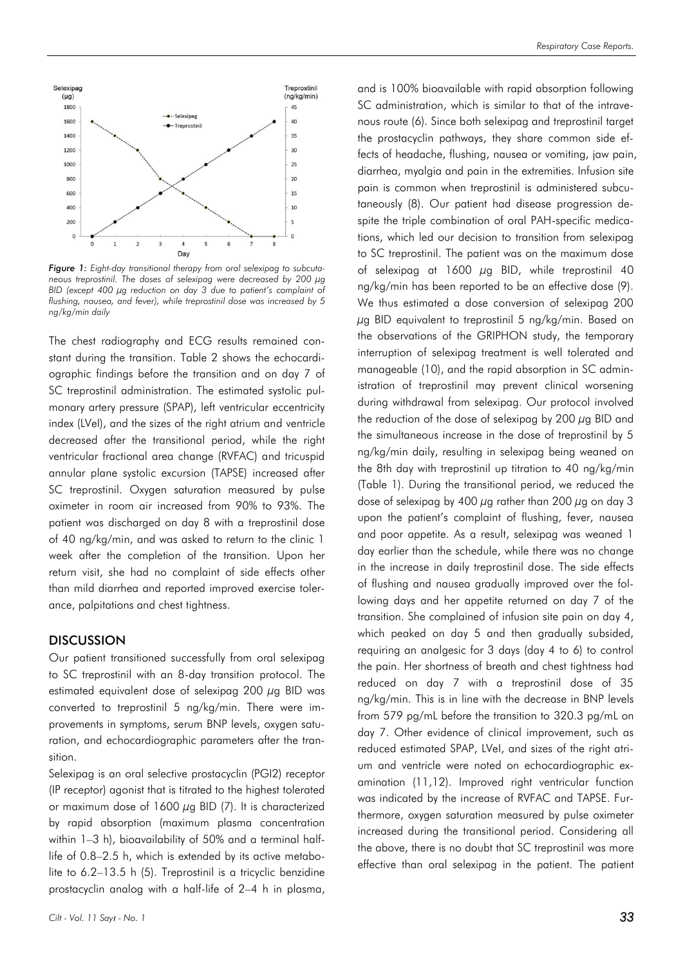

*Figure 1: Eight-day transitional therapy from oral selexipag to subcutaneous treprostinil. The doses of selexipag were decreased by 200 µg BID (except 400 µg reduction on day 3 due to patient's complaint of flushing, nausea, and fever), while treprostinil dose was increased by 5 ng/kg/min daily*

The chest radiography and ECG results remained constant during the transition. Table 2 shows the echocardiographic findings before the transition and on day 7 of SC treprostinil administration. The estimated systolic pulmonary artery pressure (SPAP), left ventricular eccentricity index (LVeI), and the sizes of the right atrium and ventricle decreased after the transitional period, while the right ventricular fractional area change (RVFAC) and tricuspid annular plane systolic excursion (TAPSE) increased after SC treprostinil. Oxygen saturation measured by pulse oximeter in room air increased from 90% to 93%. The patient was discharged on day 8 with a treprostinil dose of 40 ng/kg/min, and was asked to return to the clinic 1 week after the completion of the transition. Upon her return visit, she had no complaint of side effects other than mild diarrhea and reported improved exercise tolerance, palpitations and chest tightness.

#### **DISCUSSION**

Our patient transitioned successfully from oral selexipag to SC treprostinil with an 8-day transition protocol. The estimated equivalent dose of selexipag 200  $\mu$ g BID was converted to treprostinil 5 ng/kg/min. There were improvements in symptoms, serum BNP levels, oxygen saturation, and echocardiographic parameters after the transition.

Selexipag is an oral selective prostacyclin (PGI2) receptor (IP receptor) agonist that is titrated to the highest tolerated or maximum dose of 1600  $\mu$ g BID (7). It is characterized by rapid absorption (maximum plasma concentration within 1–3 h), bioavailability of 50% and a terminal halflife of 0.8–2.5 h, which is extended by its active metabolite to 6.2–13.5 h (5). Treprostinil is a tricyclic benzidine prostacyclin analog with a half-life of 2–4 h in plasma,

and is 100% bioavailable with rapid absorption following SC administration, which is similar to that of the intravenous route (6). Since both selexipag and treprostinil target the prostacyclin pathways, they share common side effects of headache, flushing, nausea or vomiting, jaw pain, diarrhea, myalgia and pain in the extremities. Infusion site pain is common when treprostinil is administered subcutaneously (8). Our patient had disease progression despite the triple combination of oral PAH-specific medications, which led our decision to transition from selexipag to SC treprostinil. The patient was on the maximum dose of selexipag at  $1600 \mu$ g BID, while treprostinil 40 ng/kg/min has been reported to be an effective dose (9). We thus estimated a dose conversion of selexipag 200  $\mu$ g BID equivalent to treprostinil 5 ng/kg/min. Based on the observations of the GRIPHON study, the temporary interruption of selexipag treatment is well tolerated and manageable (10), and the rapid absorption in SC administration of treprostinil may prevent clinical worsening during withdrawal from selexipag. Our protocol involved the reduction of the dose of selexipag by 200  $\mu$ g BID and the simultaneous increase in the dose of treprostinil by 5 ng/kg/min daily, resulting in selexipag being weaned on the 8th day with treprostinil up titration to 40 ng/kg/min (Table 1). During the transitional period, we reduced the dose of selexipag by 400  $\mu$ g rather than 200  $\mu$ g on day 3 upon the patient's complaint of flushing, fever, nausea and poor appetite. As a result, selexipag was weaned 1 day earlier than the schedule, while there was no change in the increase in daily treprostinil dose. The side effects of flushing and nausea gradually improved over the following days and her appetite returned on day 7 of the transition. She complained of infusion site pain on day 4, which peaked on day 5 and then gradually subsided, requiring an analgesic for 3 days (day 4 to 6) to control the pain. Her shortness of breath and chest tightness had reduced on day 7 with a treprostinil dose of 35 ng/kg/min. This is in line with the decrease in BNP levels from 579 pg/mL before the transition to 320.3 pg/mL on day 7. Other evidence of clinical improvement, such as reduced estimated SPAP, LVeI, and sizes of the right atrium and ventricle were noted on echocardiographic examination (11,12). Improved right ventricular function was indicated by the increase of RVFAC and TAPSE. Furthermore, oxygen saturation measured by pulse oximeter increased during the transitional period. Considering all the above, there is no doubt that SC treprostinil was more effective than oral selexipag in the patient. The patient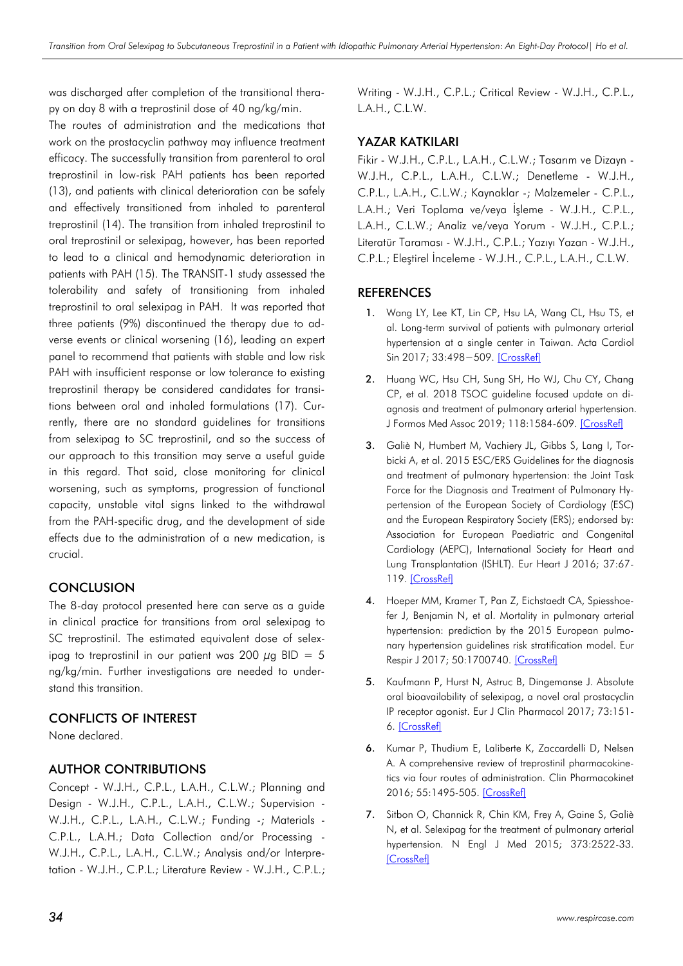was discharged after completion of the transitional therapy on day 8 with a treprostinil dose of 40 ng/kg/min.

The routes of administration and the medications that work on the prostacyclin pathway may influence treatment efficacy. The successfully transition from parenteral to oral treprostinil in low-risk PAH patients has been reported (13), and patients with clinical deterioration can be safely and effectively transitioned from inhaled to parenteral treprostinil (14). The transition from inhaled treprostinil to oral treprostinil or selexipag, however, has been reported to lead to a clinical and hemodynamic deterioration in patients with PAH (15). The TRANSIT-1 study assessed the tolerability and safety of transitioning from inhaled treprostinil to oral selexipag in PAH. It was reported that three patients (9%) discontinued the therapy due to adverse events or clinical worsening (16), leading an expert panel to recommend that patients with stable and low risk PAH with insufficient response or low tolerance to existing treprostinil therapy be considered candidates for transitions between oral and inhaled formulations (17). Currently, there are no standard guidelines for transitions from selexipag to SC treprostinil, and so the success of our approach to this transition may serve a useful guide in this regard. That said, close monitoring for clinical worsening, such as symptoms, progression of functional capacity, unstable vital signs linked to the withdrawal from the PAH-specific drug, and the development of side effects due to the administration of a new medication, is crucial.

# **CONCLUSION**

The 8-day protocol presented here can serve as a guide in clinical practice for transitions from oral selexipag to SC treprostinil. The estimated equivalent dose of selexipag to treprostinil in our patient was 200  $\mu$ g BID = 5 ng/kg/min. Further investigations are needed to understand this transition.

## CONFLICTS OF INTEREST

None declared.

# AUTHOR CONTRIBUTIONS

Concept - W.J.H., C.P.L., L.A.H., C.L.W.; Planning and Design - W.J.H., C.P.L., L.A.H., C.L.W.; Supervision - W.J.H., C.P.L., L.A.H., C.L.W.; Funding -; Materials - C.P.L., L.A.H.; Data Collection and/or Processing - W.J.H., C.P.L., L.A.H., C.L.W.; Analysis and/or Interpretation - W.J.H., C.P.L.; Literature Review - W.J.H., C.P.L.; Writing - W.J.H., C.P.L.; Critical Review - W.J.H., C.P.L., L.A.H., C.L.W.

## YAZAR KATKILARI

Fikir - W.J.H., C.P.L., L.A.H., C.L.W.; Tasarım ve Dizayn - W.J.H., C.P.L., L.A.H., C.L.W.; Denetleme - W.J.H., C.P.L., L.A.H., C.L.W.; Kaynaklar -; Malzemeler - C.P.L., L.A.H.; Veri Toplama ve/veya İşleme - W.J.H., C.P.L., L.A.H., C.L.W.; Analiz ve/veya Yorum - W.J.H., C.P.L.; Literatür Taraması - W.J.H., C.P.L.; Yazıyı Yazan - W.J.H., C.P.L.; Eleştirel İnceleme - W.J.H., C.P.L., L.A.H., C.L.W.

## REFERENCES

- 1. Wang LY, Lee KT, Lin CP, Hsu LA, Wang CL, Hsu TS, et al. Long-term survival of patients with pulmonary arterial hypertension at a single center in Taiwan. Acta Cardiol Sin 2017; 33:498−509. [\[CrossRef\]](https://doi.org/10.6515/acs20170612a)
- 2. Huang WC, Hsu CH, Sung SH, Ho WJ, Chu CY, Chang CP, et al. 2018 TSOC guideline focused update on diagnosis and treatment of pulmonary arterial hypertension. J Formos Med Assoc 2019; 118:1584-609. [\[CrossRef\]](https://doi.org/10.1016/j.jfma.2018.12.009)
- 3. Galiè N, Humbert M, Vachiery JL, Gibbs S, Lang I, Torbicki A, et al. 2015 ESC/ERS Guidelines for the diagnosis and treatment of pulmonary hypertension: the Joint Task Force for the Diagnosis and Treatment of Pulmonary Hypertension of the European Society of Cardiology (ESC) and the European Respiratory Society (ERS); endorsed by: Association for European Paediatric and Congenital Cardiology (AEPC), International Society for Heart and Lung Transplantation (ISHLT). Eur Heart J 2016; 37:67- 119. [\[CrossRef\]](https://doi.org/10.1093/eurheartj/ehv317)
- 4. Hoeper MM, Kramer T, Pan Z, Eichstaedt CA, Spiesshoefer J, Benjamin N, et al. Mortality in pulmonary arterial hypertension: prediction by the 2015 European pulmonary hypertension guidelines risk stratification model. Eur Respir J 2017; 50:1700740. [\[CrossRef\]](https://doi.org/10.1183/13993003.00740-2017)
- 5. Kaufmann P, Hurst N, Astruc B, Dingemanse J. Absolute oral bioavailability of selexipag, a novel oral prostacyclin IP receptor agonist. Eur J Clin Pharmacol 2017; 73:151- 6. [\[CrossRef\]](https://doi.org/10.1007/s00228-016-2164-4)
- 6. Kumar P, Thudium E, Laliberte K, Zaccardelli D, Nelsen A. A comprehensive review of treprostinil pharmacokinetics via four routes of administration. Clin Pharmacokinet 2016; 55:1495-505. [\[CrossRef\]](https://doi.org/10.1007/s40262-016-0409-0)
- 7. Sitbon O, Channick R, Chin KM, Frey A, Gaine S, Galiè N, et al. Selexipag for the treatment of pulmonary arterial hypertension. N Engl J Med 2015; 373:2522-33. **[\[CrossRef\]](https://doi.org/10.1056/NEJMoa1503184)**